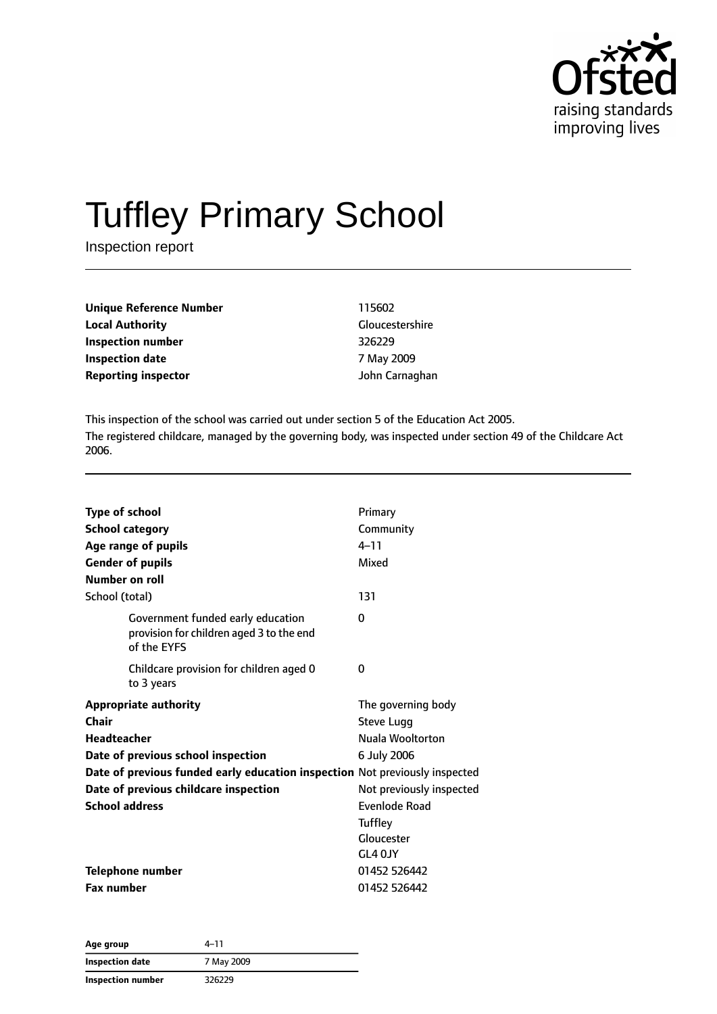

# Tuffley Primary School

Inspection report

| 115602                 |
|------------------------|
| <b>Gloucestershire</b> |
| 326229                 |
| 7 May 2009             |
| John Carnaghan         |
|                        |

This inspection of the school was carried out under section 5 of the Education Act 2005. The registered childcare, managed by the governing body, was inspected under section 49 of the Childcare Act 2006.

| <b>Type of school</b><br><b>School category</b><br>Age range of pupils<br><b>Gender of pupils</b><br>Number on roll | Primary<br>Community<br>$4 - 11$<br>Mixed |
|---------------------------------------------------------------------------------------------------------------------|-------------------------------------------|
| School (total)                                                                                                      | 131                                       |
| Government funded early education<br>provision for children aged 3 to the end<br>of the EYFS                        | $\Omega$                                  |
| Childcare provision for children aged 0<br>to 3 years                                                               | 0                                         |
| <b>Appropriate authority</b>                                                                                        | The governing body                        |
| Chair                                                                                                               | <b>Steve Lugg</b>                         |
| Headteacher                                                                                                         | Nuala Wooltorton                          |
| Date of previous school inspection                                                                                  | 6 July 2006                               |
| Date of previous funded early education inspection Not previously inspected                                         |                                           |
| Date of previous childcare inspection                                                                               | Not previously inspected                  |
| <b>School address</b>                                                                                               | Evenlode Road                             |
|                                                                                                                     | <b>Tuffley</b>                            |
|                                                                                                                     | Gloucester                                |
|                                                                                                                     | GL4 OJY                                   |
| Telephone number                                                                                                    | 01452 526442                              |
| <b>Fax number</b>                                                                                                   | 01452 526442                              |

| Age group         | 4–11       |  |
|-------------------|------------|--|
| Inspection date   | 7 May 2009 |  |
| Inspection number | 326229     |  |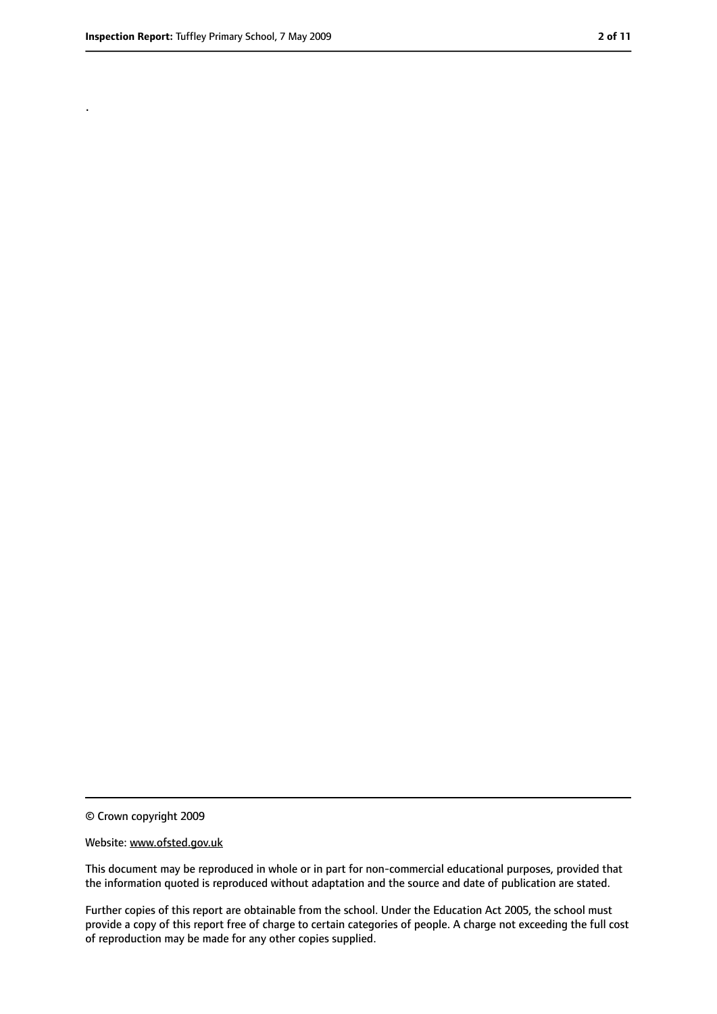.

<sup>©</sup> Crown copyright 2009

Website: www.ofsted.gov.uk

This document may be reproduced in whole or in part for non-commercial educational purposes, provided that the information quoted is reproduced without adaptation and the source and date of publication are stated.

Further copies of this report are obtainable from the school. Under the Education Act 2005, the school must provide a copy of this report free of charge to certain categories of people. A charge not exceeding the full cost of reproduction may be made for any other copies supplied.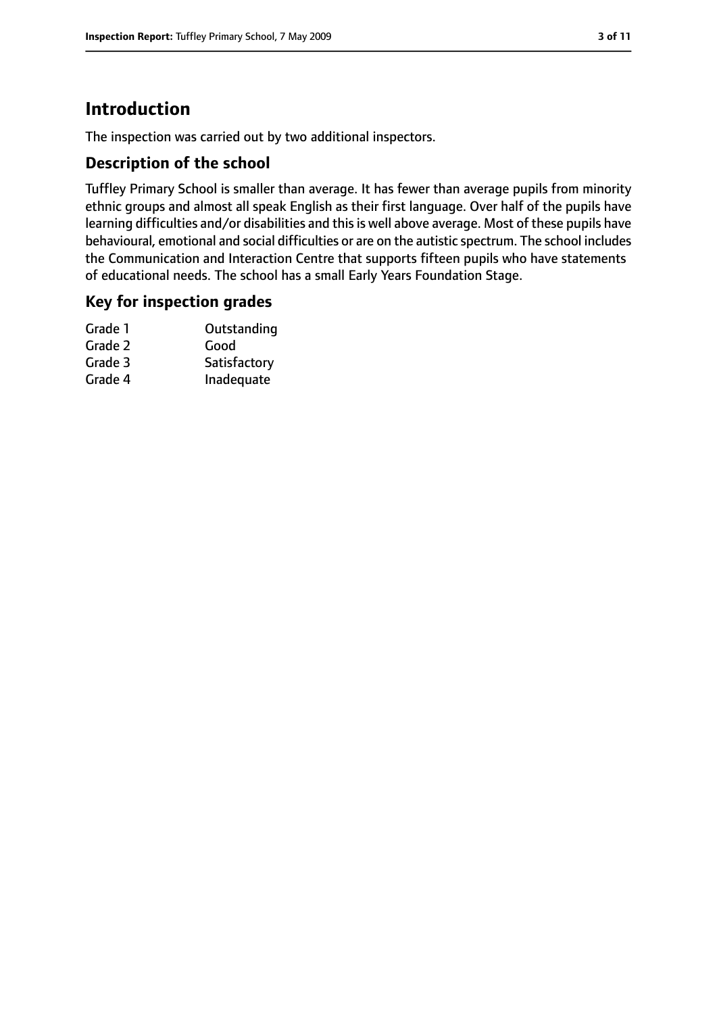## **Introduction**

The inspection was carried out by two additional inspectors.

#### **Description of the school**

Tuffley Primary School is smaller than average. It has fewer than average pupils from minority ethnic groups and almost all speak English as their first language. Over half of the pupils have learning difficulties and/or disabilities and this is well above average. Most of these pupils have behavioural, emotional and social difficulties or are on the autistic spectrum. The school includes the Communication and Interaction Centre that supports fifteen pupils who have statements of educational needs. The school has a small Early Years Foundation Stage.

#### **Key for inspection grades**

| Grade 1 | Outstanding  |
|---------|--------------|
| Grade 2 | Good         |
| Grade 3 | Satisfactory |
| Grade 4 | Inadequate   |
|         |              |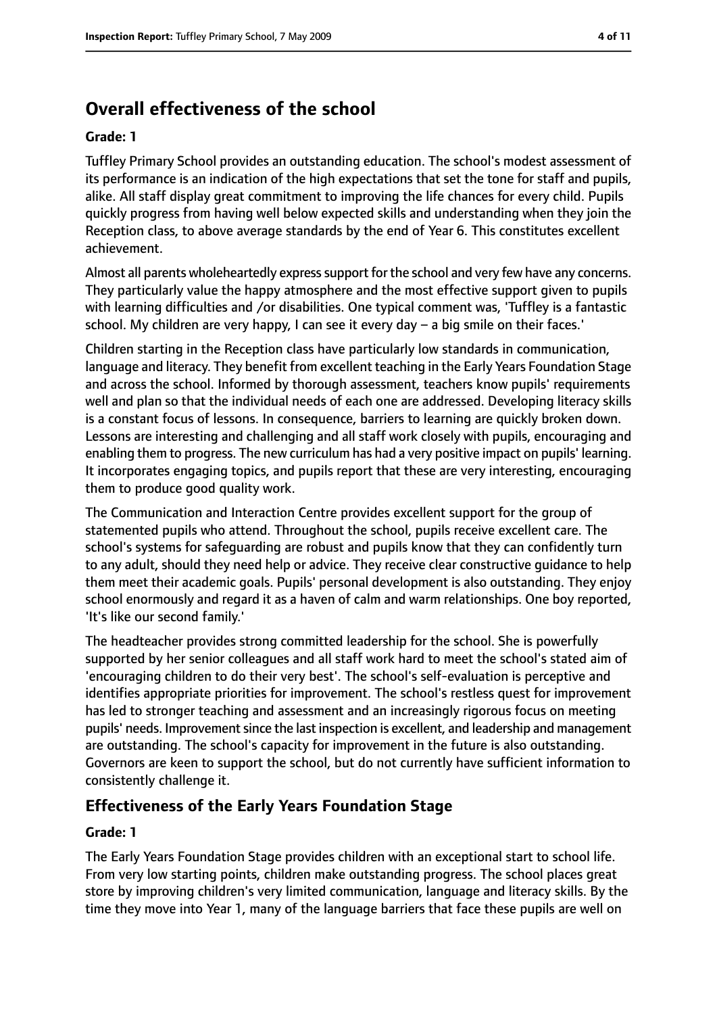## **Overall effectiveness of the school**

#### **Grade: 1**

Tuffley Primary School provides an outstanding education. The school's modest assessment of its performance is an indication of the high expectations that set the tone for staff and pupils, alike. All staff display great commitment to improving the life chances for every child. Pupils quickly progress from having well below expected skills and understanding when they join the Reception class, to above average standards by the end of Year 6. This constitutes excellent achievement.

Almost all parents wholeheartedly express support for the school and very few have any concerns. They particularly value the happy atmosphere and the most effective support given to pupils with learning difficulties and /or disabilities. One typical comment was, 'Tuffley is a fantastic school. My children are very happy, I can see it every day – a big smile on their faces.'

Children starting in the Reception class have particularly low standards in communication, language and literacy. They benefit from excellent teaching in the Early Years Foundation Stage and across the school. Informed by thorough assessment, teachers know pupils' requirements well and plan so that the individual needs of each one are addressed. Developing literacy skills is a constant focus of lessons. In consequence, barriers to learning are quickly broken down. Lessons are interesting and challenging and all staff work closely with pupils, encouraging and enabling them to progress. The new curriculum has had a very positive impact on pupils' learning. It incorporates engaging topics, and pupils report that these are very interesting, encouraging them to produce good quality work.

The Communication and Interaction Centre provides excellent support for the group of statemented pupils who attend. Throughout the school, pupils receive excellent care. The school's systems for safeguarding are robust and pupils know that they can confidently turn to any adult, should they need help or advice. They receive clear constructive guidance to help them meet their academic goals. Pupils' personal development is also outstanding. They enjoy school enormously and regard it as a haven of calm and warm relationships. One boy reported, 'It's like our second family.'

The headteacher provides strong committed leadership for the school. She is powerfully supported by her senior colleagues and all staff work hard to meet the school's stated aim of 'encouraging children to do their very best'. The school's self-evaluation is perceptive and identifies appropriate priorities for improvement. The school's restless quest for improvement has led to stronger teaching and assessment and an increasingly rigorous focus on meeting pupils' needs. Improvement since the last inspection is excellent, and leadership and management are outstanding. The school's capacity for improvement in the future is also outstanding. Governors are keen to support the school, but do not currently have sufficient information to consistently challenge it.

#### **Effectiveness of the Early Years Foundation Stage**

#### **Grade: 1**

The Early Years Foundation Stage provides children with an exceptional start to school life. From very low starting points, children make outstanding progress. The school places great store by improving children's very limited communication, language and literacy skills. By the time they move into Year 1, many of the language barriers that face these pupils are well on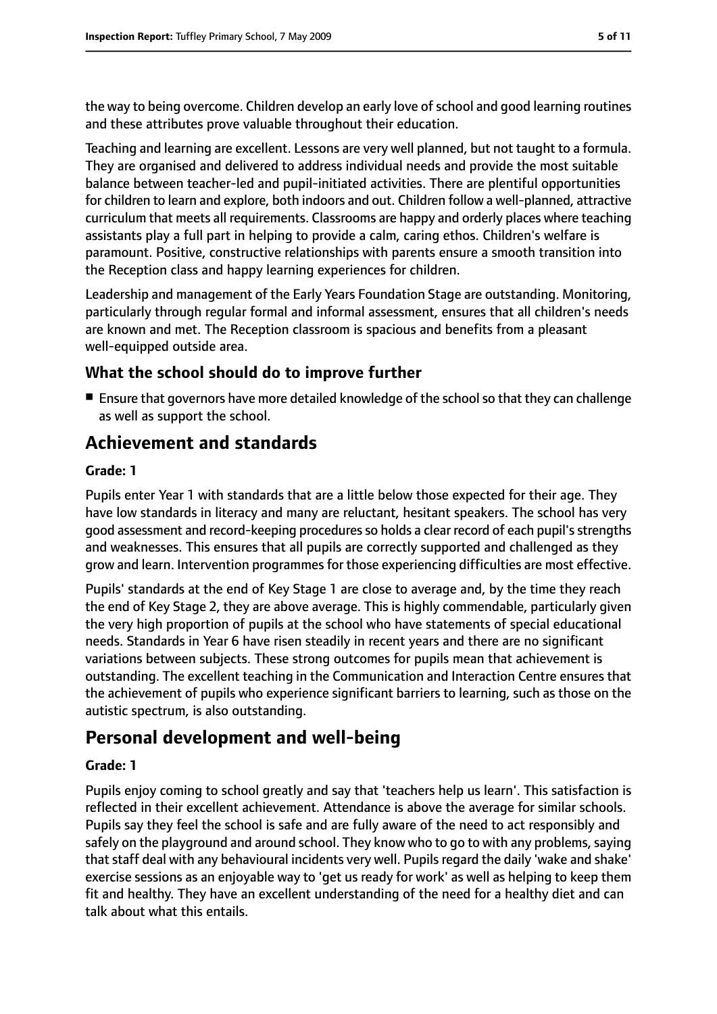the way to being overcome. Children develop an early love of school and good learning routines and these attributes prove valuable throughout their education.

Teaching and learning are excellent. Lessons are very well planned, but not taught to a formula. They are organised and delivered to address individual needs and provide the most suitable balance between teacher-led and pupil-initiated activities. There are plentiful opportunities for children to learn and explore, both indoors and out. Children follow a well-planned, attractive curriculum that meets all requirements. Classrooms are happy and orderly places where teaching assistants play a full part in helping to provide a calm, caring ethos. Children's welfare is paramount. Positive, constructive relationships with parents ensure a smooth transition into the Reception class and happy learning experiences for children.

Leadership and management of the Early Years Foundation Stage are outstanding. Monitoring, particularly through regular formal and informal assessment, ensures that all children's needs are known and met. The Reception classroom is spacious and benefits from a pleasant well-equipped outside area.

### **What the school should do to improve further**

■ Ensure that governors have more detailed knowledge of the school so that they can challenge as well as support the school.

## **Achievement and standards**

#### **Grade: 1**

Pupils enter Year 1 with standards that are a little below those expected for their age. They have low standards in literacy and many are reluctant, hesitant speakers. The school has very good assessment and record-keeping proceduresso holds a clear record of each pupil'sstrengths and weaknesses. This ensures that all pupils are correctly supported and challenged as they grow and learn. Intervention programmes for those experiencing difficulties are most effective.

Pupils' standards at the end of Key Stage 1 are close to average and, by the time they reach the end of Key Stage 2, they are above average. This is highly commendable, particularly given the very high proportion of pupils at the school who have statements of special educational needs. Standards in Year 6 have risen steadily in recent years and there are no significant variations between subjects. These strong outcomes for pupils mean that achievement is outstanding. The excellent teaching in the Communication and Interaction Centre ensures that the achievement of pupils who experience significant barriers to learning, such as those on the autistic spectrum, is also outstanding.

## **Personal development and well-being**

#### **Grade: 1**

Pupils enjoy coming to school greatly and say that 'teachers help us learn'. This satisfaction is reflected in their excellent achievement. Attendance is above the average for similar schools. Pupils say they feel the school is safe and are fully aware of the need to act responsibly and safely on the playground and around school. They know who to go to with any problems, saying that staff deal with any behavioural incidents very well. Pupils regard the daily 'wake and shake' exercise sessions as an enjoyable way to 'get us ready for work' as well as helping to keep them fit and healthy. They have an excellent understanding of the need for a healthy diet and can talk about what this entails.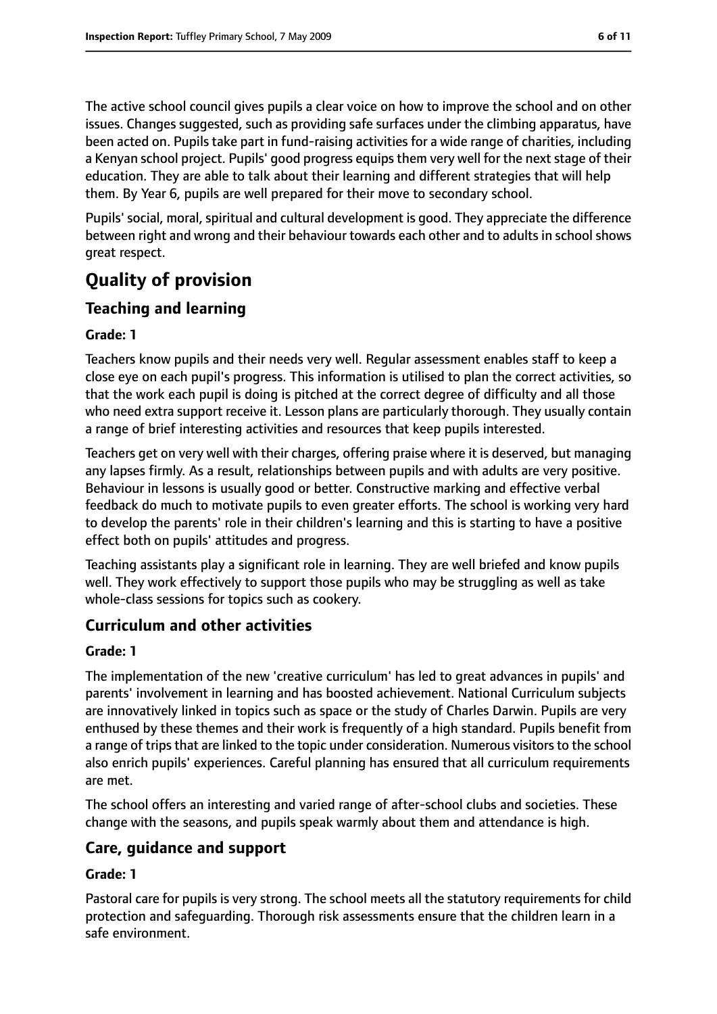The active school council gives pupils a clear voice on how to improve the school and on other issues. Changes suggested, such as providing safe surfaces under the climbing apparatus, have been acted on. Pupils take part in fund-raising activities for a wide range of charities, including a Kenyan school project. Pupils' good progress equips them very well for the next stage of their education. They are able to talk about their learning and different strategies that will help them. By Year 6, pupils are well prepared for their move to secondary school.

Pupils' social, moral, spiritual and cultural development is good. They appreciate the difference between right and wrong and their behaviour towards each other and to adults in school shows great respect.

# **Quality of provision**

## **Teaching and learning**

#### **Grade: 1**

Teachers know pupils and their needs very well. Regular assessment enables staff to keep a close eye on each pupil's progress. This information is utilised to plan the correct activities, so that the work each pupil is doing is pitched at the correct degree of difficulty and all those who need extra support receive it. Lesson plans are particularly thorough. They usually contain a range of brief interesting activities and resources that keep pupils interested.

Teachers get on very well with their charges, offering praise where it is deserved, but managing any lapses firmly. As a result, relationships between pupils and with adults are very positive. Behaviour in lessons is usually good or better. Constructive marking and effective verbal feedback do much to motivate pupils to even greater efforts. The school is working very hard to develop the parents' role in their children's learning and this is starting to have a positive effect both on pupils' attitudes and progress.

Teaching assistants play a significant role in learning. They are well briefed and know pupils well. They work effectively to support those pupils who may be struggling as well as take whole-class sessions for topics such as cookery.

## **Curriculum and other activities**

#### **Grade: 1**

The implementation of the new 'creative curriculum' has led to great advances in pupils' and parents' involvement in learning and has boosted achievement. National Curriculum subjects are innovatively linked in topics such as space or the study of Charles Darwin. Pupils are very enthused by these themes and their work is frequently of a high standard. Pupils benefit from a range of trips that are linked to the topic under consideration. Numerous visitors to the school also enrich pupils' experiences. Careful planning has ensured that all curriculum requirements are met.

The school offers an interesting and varied range of after-school clubs and societies. These change with the seasons, and pupils speak warmly about them and attendance is high.

## **Care, guidance and support**

### **Grade: 1**

Pastoral care for pupils is very strong. The school meets all the statutory requirements for child protection and safeguarding. Thorough risk assessments ensure that the children learn in a safe environment.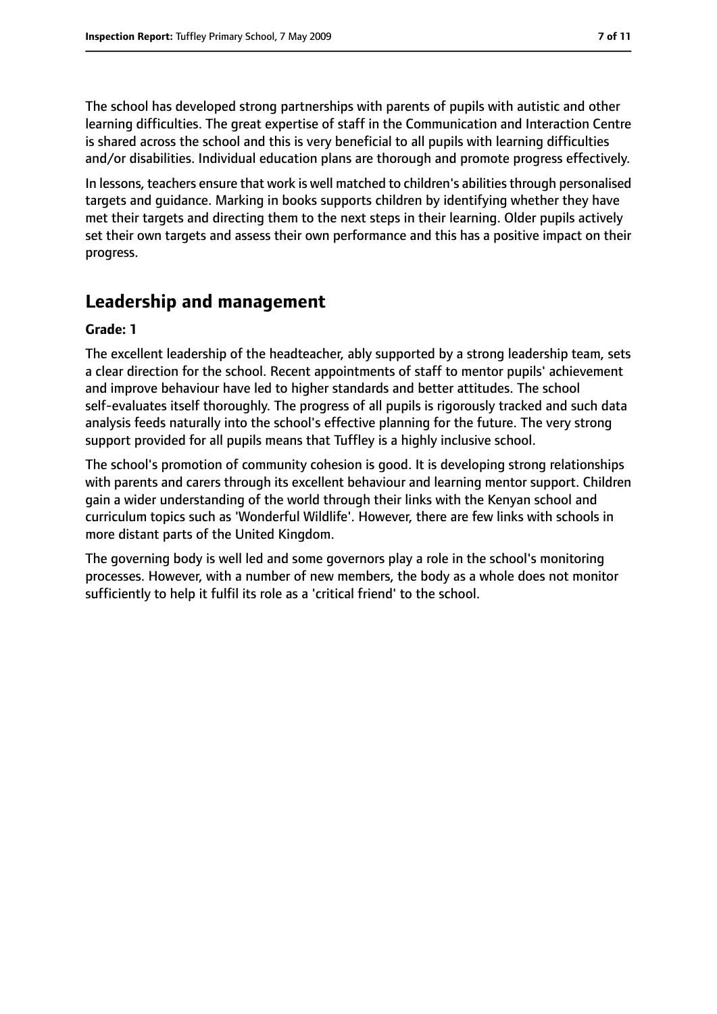The school has developed strong partnerships with parents of pupils with autistic and other learning difficulties. The great expertise of staff in the Communication and Interaction Centre is shared across the school and this is very beneficial to all pupils with learning difficulties and/or disabilities. Individual education plans are thorough and promote progress effectively.

In lessons, teachers ensure that work is well matched to children's abilities through personalised targets and guidance. Marking in books supports children by identifying whether they have met their targets and directing them to the next steps in their learning. Older pupils actively set their own targets and assess their own performance and this has a positive impact on their progress.

## **Leadership and management**

#### **Grade: 1**

The excellent leadership of the headteacher, ably supported by a strong leadership team, sets a clear direction for the school. Recent appointments of staff to mentor pupils' achievement and improve behaviour have led to higher standards and better attitudes. The school self-evaluates itself thoroughly. The progress of all pupils is rigorously tracked and such data analysis feeds naturally into the school's effective planning for the future. The very strong support provided for all pupils means that Tuffley is a highly inclusive school.

The school's promotion of community cohesion is good. It is developing strong relationships with parents and carers through its excellent behaviour and learning mentor support. Children gain a wider understanding of the world through their links with the Kenyan school and curriculum topics such as 'Wonderful Wildlife'. However, there are few links with schools in more distant parts of the United Kingdom.

The governing body is well led and some governors play a role in the school's monitoring processes. However, with a number of new members, the body as a whole does not monitor sufficiently to help it fulfil its role as a 'critical friend' to the school.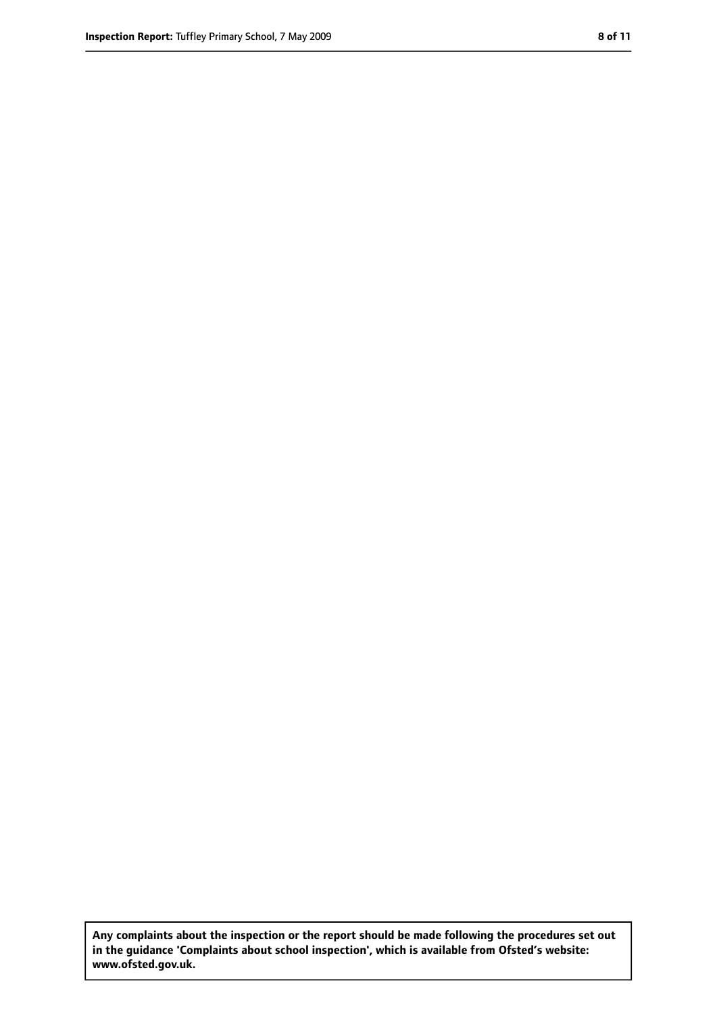**Any complaints about the inspection or the report should be made following the procedures set out in the guidance 'Complaints about school inspection', which is available from Ofsted's website: www.ofsted.gov.uk.**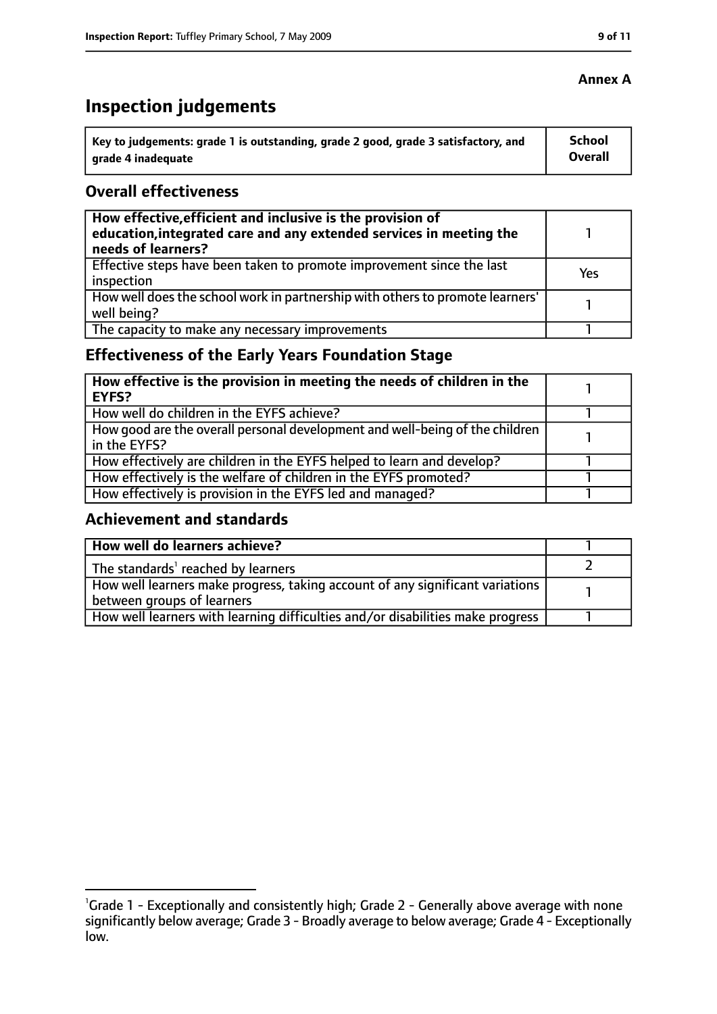# **Inspection judgements**

| key to judgements: grade 1 is outstanding, grade 2 good, grade 3 satisfactory, and ا | <b>School</b> |
|--------------------------------------------------------------------------------------|---------------|
| arade 4 inadeguate                                                                   | Overall       |

#### **Overall effectiveness**

| How effective, efficient and inclusive is the provision of<br>education, integrated care and any extended services in meeting the<br>needs of learners? |     |
|---------------------------------------------------------------------------------------------------------------------------------------------------------|-----|
| Effective steps have been taken to promote improvement since the last<br>inspection                                                                     | Yes |
| How well does the school work in partnership with others to promote learners'<br>well being?                                                            |     |
| The capacity to make any necessary improvements                                                                                                         |     |

## **Effectiveness of the Early Years Foundation Stage**

| How effective is the provision in meeting the needs of children in the<br>l EYFS?              |  |
|------------------------------------------------------------------------------------------------|--|
| How well do children in the EYFS achieve?                                                      |  |
| How good are the overall personal development and well-being of the children<br>I in the EYFS? |  |
| How effectively are children in the EYFS helped to learn and develop?                          |  |
| How effectively is the welfare of children in the EYFS promoted?                               |  |
| How effectively is provision in the EYFS led and managed?                                      |  |

#### **Achievement and standards**

| How well do learners achieve?                                                                                 |  |
|---------------------------------------------------------------------------------------------------------------|--|
| The standards <sup>1</sup> reached by learners                                                                |  |
| How well learners make progress, taking account of any significant variations  <br>between groups of learners |  |
| How well learners with learning difficulties and/or disabilities make progress                                |  |

#### **Annex A**

<sup>&</sup>lt;sup>1</sup>Grade 1 - Exceptionally and consistently high; Grade 2 - Generally above average with none significantly below average; Grade 3 - Broadly average to below average; Grade 4 - Exceptionally low.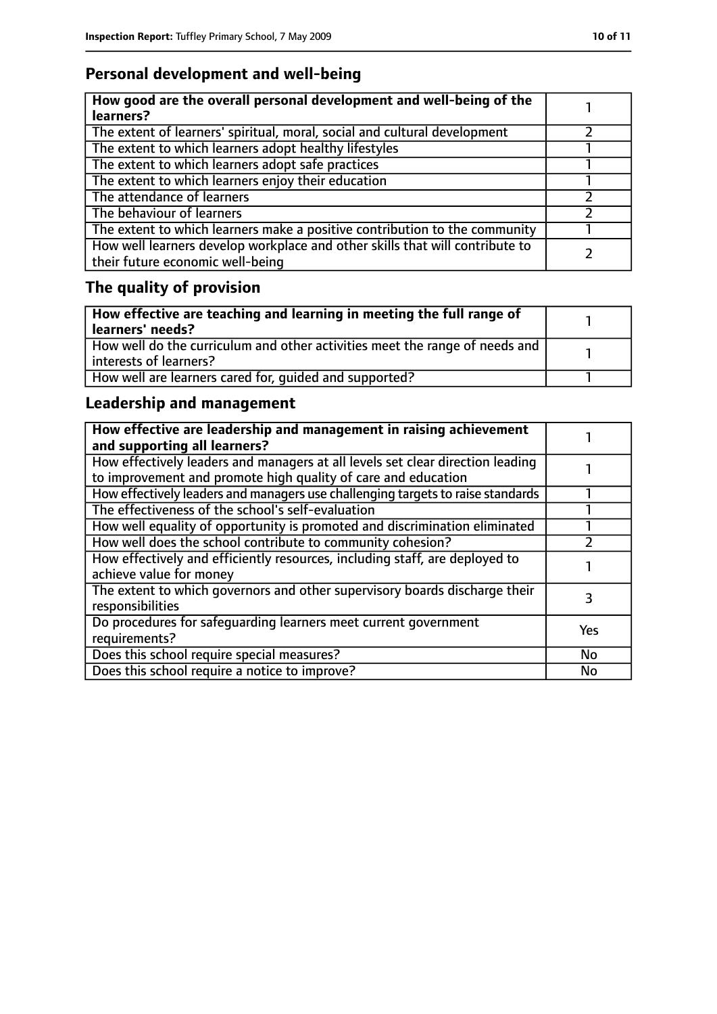## **Personal development and well-being**

| How good are the overall personal development and well-being of the<br>learners?                                 |  |
|------------------------------------------------------------------------------------------------------------------|--|
| The extent of learners' spiritual, moral, social and cultural development                                        |  |
| The extent to which learners adopt healthy lifestyles                                                            |  |
| The extent to which learners adopt safe practices                                                                |  |
| The extent to which learners enjoy their education                                                               |  |
| The attendance of learners                                                                                       |  |
| The behaviour of learners                                                                                        |  |
| The extent to which learners make a positive contribution to the community                                       |  |
| How well learners develop workplace and other skills that will contribute to<br>their future economic well-being |  |

## **The quality of provision**

| How effective are teaching and learning in meeting the full range of<br>learners' needs?              |  |
|-------------------------------------------------------------------------------------------------------|--|
| How well do the curriculum and other activities meet the range of needs and<br>interests of learners? |  |
| How well are learners cared for, quided and supported?                                                |  |

## **Leadership and management**

| How effective are leadership and management in raising achievement<br>and supporting all learners?                                              |           |
|-------------------------------------------------------------------------------------------------------------------------------------------------|-----------|
| How effectively leaders and managers at all levels set clear direction leading<br>to improvement and promote high quality of care and education |           |
| How effectively leaders and managers use challenging targets to raise standards                                                                 |           |
| The effectiveness of the school's self-evaluation                                                                                               |           |
| How well equality of opportunity is promoted and discrimination eliminated                                                                      |           |
| How well does the school contribute to community cohesion?                                                                                      |           |
| How effectively and efficiently resources, including staff, are deployed to<br>achieve value for money                                          |           |
| The extent to which governors and other supervisory boards discharge their<br>responsibilities                                                  |           |
| Do procedures for safequarding learners meet current government<br>requirements?                                                                | Yes       |
| Does this school require special measures?                                                                                                      | <b>No</b> |
| Does this school require a notice to improve?                                                                                                   | No        |